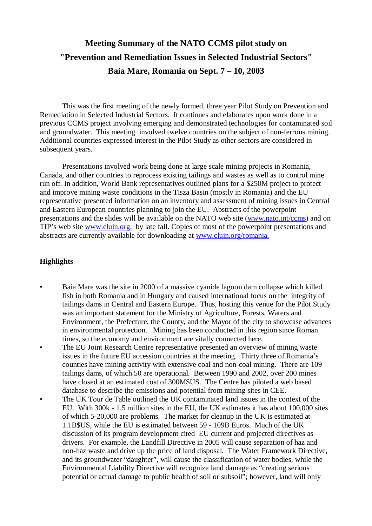# **Meeting Summary of the NATO CCMS pilot study on "Prevention and Remediation Issues in Selected Industrial Sectors" Baia Mare, Romania on Sept. 7 – 10, 2003**

This was the first meeting of the newly formed, three year Pilot Study on Prevention and Remediation in Selected Industrial Sectors. It continues and elaborates upon work done in a previous CCMS project involving emerging and demonstrated technologies for contaminated soil and groundwater. This meeting involved twelve countries on the subject of non-ferrous mining. Additional countries expressed interest in the Pilot Study as other sectors are considered in subsequent years.

Presentations involved work being done at large scale mining projects in Romania, Canada, and other countries to reprocess existing tailings and wastes as well as to control mine run off. In addition, World Bank representatives outlined plans for a \$250M project to protect and improve mining waste conditions in the Tisza Basin (mostly in Romania) and the EU representative presented information on an inventory and assessment of mining issues in Central and Eastern European countries planning to join the EU. Abstracts of the powerpoint presentations and the slides will be available on the NATO web site (www.nato.int/ccms) and on TIP's web site www.cluin.org. by late fall. Copies of most of the powerpoint presentations and abstracts are currently available for downloading at www.cluin.org/romania.

## **Highlights**

- Baia Mare was the site in 2000 of a massive cyanide lagoon dam collapse which killed fish in both Romania and in Hungary and caused international focus on the integrity of tailings dams in Central and Eastern Europe. Thus, hosting this venue for the Pilot Study was an important statement for the Ministry of Agriculture, Forests, Waters and Environment, the Prefecture, the County, and the Mayor of the city to showcase advances in environmental protection. Mining has been conducted in this region since Roman times, so the economy and environment are vitally connected here.
- The EU Joint Research Centre representative presented an overview of mining waste issues in the future EU accession countries at the meeting. Thirty three of Romania's counties have mining activity with extensive coal and non-coal mining. There are 109 tailings dams, of which 50 are operational. Between 1990 and 2002, over 200 mines have closed at an estimated cost of 300M\$US. The Centre has piloted a web based database to describe the emissions and potential from mining sites in CEE.
- The UK Tour de Table outlined the UK contaminated land issues in the context of the EU. With 300k - 1.5 million sites in the EU, the UK estimates it has about 100,000 sites of which 5-20,000 are problems. The market for cleanup in the UK is estimated at 1.1B\$US, while the EU is estimated between 59 - 109B Euros. Much of the UK discussion of its program development cited EU current and projected directives as drivers. For example, the Landfill Directive in 2005 will cause separation of haz and non-haz waste and drive up the price of land disposal. The Water Framework Directive, and its groundwater "daughter", will cause the classification of water bodies, while the Environmental Liability Directive will recognize land damage as "creating serious potential or actual damage to public health of soil or subsoil"; however, land will only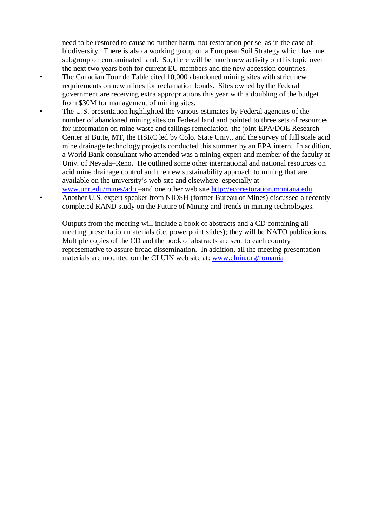need to be restored to cause no further harm, not restoration per se–as in the case of biodiversity. There is also a working group on a European Soil Strategy which has one subgroup on contaminated land. So, there will be much new activity on this topic over the next two years both for current EU members and the new accession countries.

- The Canadian Tour de Table cited 10,000 abandoned mining sites with strict new requirements on new mines for reclamation bonds. Sites owned by the Federal government are receiving extra appropriations this year with a doubling of the budget from \$30M for management of mining sites.
- The U.S. presentation highlighted the various estimates by Federal agencies of the number of abandoned mining sites on Federal land and pointed to three sets of resources for information on mine waste and tailings remediation–the joint EPA/DOE Research Center at Butte, MT, the HSRC led by Colo. State Univ., and the survey of full scale acid mine drainage technology projects conducted this summer by an EPA intern. In addition, a World Bank consultant who attended was a mining expert and member of the faculty at Univ. of Nevada–Reno. He outlined some other international and national resources on acid mine drainage control and the new sustainability approach to mining that are available on the university's web site and elsewhere–especially at
	- www.unr.edu/mines/adti –and one other web site http://ecorestoration.montana.edu. • Another U.S. expert speaker from NIOSH (former Bureau of Mines) discussed a recently completed RAND study on the Future of Mining and trends in mining technologies.

Outputs from the meeting will include a book of abstracts and a CD containing all meeting presentation materials (i.e. powerpoint slides); they will be NATO publications. Multiple copies of the CD and the book of abstracts are sent to each country representative to assure broad dissemination. In addition, all the meeting presentation materials are mounted on the CLUIN web site at: www.cluin.org/romania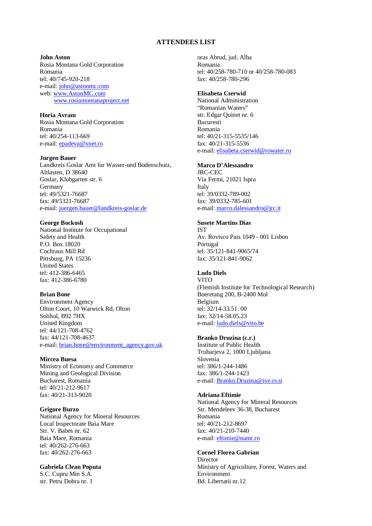### **ATTENDEES LIST**

#### **John Aston**

Rosia Montana Gold Corporation Romania tel: 40/745-920-218 e-mail: john@astonmc.com web: www.AstonMC.com www.rosiamontanaproject.net

**Horia Avram** Rosia Montana Gold Corporation Romania tel: 40/254-113-669 e-mail: epadeva@xnet.ro

#### **Jurgen Bauer**

Landkreis Goslar Amt fur Wasser-und Bodenschutz, Altlasten, D 38640 Goslar, Klubgarten str. 6 Germany tel: 49/5321-76687 fax: 49/5321-76687 e-mail: juergen.bauer@landkreis-goslar.de

### **George Bockosh**

National Institute for Occupational Safety and Health P.O. Box 18020 Cochraus Mill Rd Pittsburg, PA 15236 United States tel: 412-386-6465 fax: 412-386-6780

### **Brian Bone**

Environment Agency Olton Court, 10 Warwick Rd, Olton Solihul, B92 7HX United Kingdom tel: 44/121-708-4762 fax: 44/121-708-4637 e-mail: brian.bone@environment\_agency.gov.uk

### **Mircea Buesa**

Ministry of Economy and Commerce Mining and Geological Division Bucharest, Romania tel: 40/21-212-9617 fax: 40/21-313-9020

#### **Grigore Burzo**

National Agency for Mineral Resources Local Inspectorate Baia Mare Str. V. Babes nr. 62 Baia Mare, Romania tel: 40/262-276-663 fax: 40/262-276-663

#### **Gabriela Clean Poputa**

S.C. Cupru Min S.A. str. Petru Dobra nr. 1

oras Abrud, jud. Alba Romania tel: 40/258-780-710 or 40/258-780-083 fax: 40/258-780-296

### **Elisabeta Cserwid**

National Administration "Romanian Waters" str. Edgar Quinet nr. 6 Bucuresti Romania tel: 40/21-315-5535/146 fax: 40/21-315-5536 e-mail: elisabeta.cserwid@rowater.ro

### **Marco D'Alessandro**

JRC-CEC Via Fermi, 21021 Ispra Italy tel: 39/0332-789-002 fax: 39/0332-785-601 e-mail: marco.dalessandro@jrc.it

### **Susete Martins Dias**

IST Av. Rovisco Pais 1049 - 001 Lisbon Portugal tel: 35/121-841-9065/74 fax: 35/121-841-9062

### **Ludo Diels**

VITO (Flemish Institute for Technological Research) Boeretang 200, B-2400 Mol Belgium tel: 32/14-33.51. 00 fax: 32/14-58.05.23 e-mail: ludo.diels@vito.be

#### **Branko Druzina (c.r.)**

Institute of Public Health Trubarjeva 2, 1000 Ljubljana Slovenia tel: 386/1-244-1486 fax: 386/1-244-1423 e-mail: Branko.Druzina@ivz-rs.si

### **Adriana Eftimie**

National Agency for Mineral Resources Str. Mendeleev 36-38, Bucharest Romania tel: 40/21-212-8697 fax: 40/21-210-7440 e-mail: eftimie@namr.ro

### **Cornel Florea Gabrian**

**Director** Ministry of Agriculture, Forest, Waters and Environment Bd. Libertatii nr.12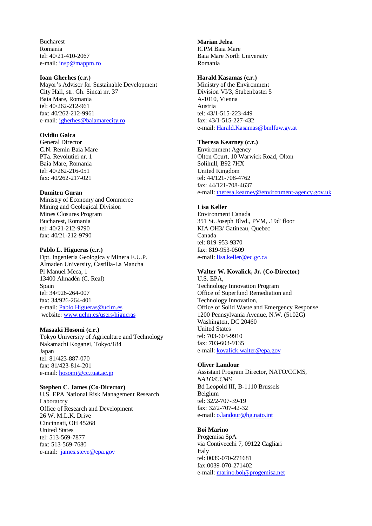Bucharest Romania tel: 40/21-410-2067 e-mail: insp@mappm.ro

### **Ioan Gherhes (c.r.)**

Mayor's Advisor for Sustainable Development City Hall, str. Gh. Sincai nr. 37 Baia Mare, Romania tel: 40/262-212-961 fax: 40/262-212-9961 e-mail: igherhes@baiamarecity.ro

### **Ovidiu Galca**

General Director C.N. Remin Baia Mare PTa. Revolutiei nr. 1 Baia Mare, Romania tel: 40/262-216-051 fax: 40/262-217-021

#### **Dumitru Guran**

Ministry of Economy and Commerce Mining and Geological Division Mines Closures Program Bucharest, Romania tel: 40/21-212-9790 fax: 40/21-212-9790

#### **Pablo L. Higueras (c.r.)**

Dpt. Ingenieria Geologica y Minera E.U.P. Almaden University, Castilla-La Mancha Pl Manuel Meca, 1 13400 Almadén (C. Real) Spain tel: 34/926-264-007 fax: 34/926-264-401 e-mail: Pablo.Higueras@uclm.es website: www.uclm.es/users/higueras

#### **Masaaki Hosomi (c.r.)**

Tokyo University of Agriculture and Technology Nakamachi Koganei, Tokyo/184 Japan tel: 81/423-887-070 fax: 81/423-814-201 e-mail: hosomi@cc.tuat.ac.jp

#### **Stephen C. James (Co-Director)**

U.S. EPA National Risk Management Research Laboratory Office of Research and Development 26 W. M.L.K. Drive Cincinnati, OH 45268 United States tel: 513-569-7877 fax: 513-569-7680 e-mail: james.steve@epa.gov

### **Marian Jelea**

ICPM Baia Mare Baia Mare North University Romania

#### **Harald Kasamas (c.r.)**

Ministry of the Environment Division VI/3, Stubenbastei 5 A-1010, Vienna Austria tel: 43/1-515-223-449 fax: 43/1-515-227-432 e-mail: Harald.Kasamas@bmlfuw.gv.at

# **Theresa Kearney (c.r.)**

Environment Agency Olton Court, 10 Warwick Road, Olton Solihull, B92 7HX United Kingdom tel: 44/121-708-4762 fax: 44/121-708-4637 e-mail: theresa.kearney@environment-agency.gov.uk

#### **Lisa Keller**

Environment Canada 351 St. Joseph Blvd., PVM, .19d' floor KIA OH3/ Gatineau, Quebec Canada tel: 819-953-9370 fax: 819-953-0509 e-mail: lisa.keller@ec.gc.ca

#### **Walter W. Kovalick, Jr. (Co-Director)** U.S. EPA,

Technology Innovation Program Office of Superfund Remediation and Technology Innovation, Office of Solid Waste and Emergency Response 1200 Pennsylvania Avenue, N.W. (5102G) Washington, DC 20460 United States tel: 703-603-9910 fax: 703-603-9135 e-mail: kovalick.walter@epa.gov

#### **Oliver Landour**

Assistant Program Director, NATO/CCMS, *NATO/CCMS* Bd Leopold III, B-1110 Brussels Belgium tel: 32/2-707-39-19 fax: 32/2-707-42-32 e-mail: o.landour@hg.nato.int

#### **Boi Marino**

Progemisa SpA via Contivecchi 7, 09122 Cagliari Italy tel: 0039-070-271681 fax:0039-070-271402 e-mail: marino.boi@progemisa.net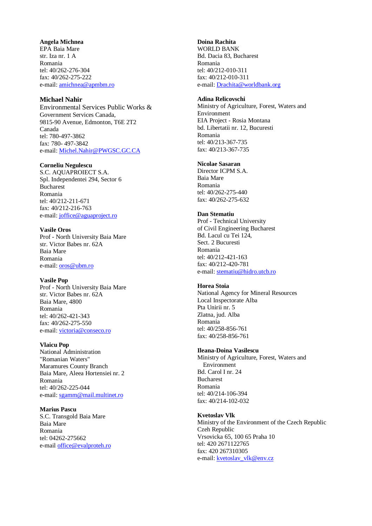#### **Angela Michnea**

EPA Baia Mare str. Iza nr. 1 A Romania tel: 40/262-276-304 fax: 40/262-275-222 e-mail: amichnea@apmbm.ro

### **Michael Nahir**

Environmental Services Public Works & Government Services Canada, 9815-90 Avenue, Edmonton, T6E 2T2 Canada tel: 780-497-3862 fax: 780- 497-3842 e-mail: Michel.Nahir@PWGSC.GC.CA

### **Corneliu Negulescu**

S.C. AQUAPROIECT S.A. Spl. Independentei 294, Sector 6 Bucharest Romania tel: 40/212-211-671 fax: 40/212-216-763 e-mail: joffice@aguaproject.ro

### **Vasile Oros**

Prof - North University Baia Mare str. Victor Babes nr. 62A Baia Mare Romania e-mail: oros@ubm.ro

#### **Vasile Pop**

Prof - North University Baia Mare str. Victor Babes nr. 62A Baia Mare, 4800 Romania tel: 40/262-421-343 fax: 40/262-275-550 e-mail: victoria@conseco.ro

#### **Vlaicu Pop**

National Administration "Romanian Waters" Maramures County Branch Baia Mare, Aleea Hortensiei nr. 2 Romania tel: 40/262-225-044 e-mail: sgamm@mail.multinet.ro

#### **Marius Pascu**

S.C. Transgold Baia Mare Baia Mare Romania tel: 04262-275662 e-mail office@evalproteh.ro

### **Doina Rachita**

WORLD BANK Bd. Dacia 83, Bucharest Romania tel: 40/212-010-311 fax: 40/212-010-311 e-mail: Drachita@worldbank.org

### **Adina Relicovschi**

Ministry of Agriculture, Forest, Waters and Environment EIA Project - Rosia Montana bd. Libertatii nr. 12, Bucuresti Romania tel: 40/213-367-735 fax: 40/213-367-735

### **Nicolae Sasaran**

Director ICPM S.A. Baia Mare Romania tel: 40/262-275-440 fax: 40/262-275-632

### **Dan Stematiu**

Prof - Technical University of Civil Engineering Bucharest Bd. Lacul cu Tei 124, Sect. 2 Bucuresti Romania tel: 40/212-421-163 fax: 40/212-420-781 e-mail: stematiu@hidro.utcb.ro

### **Horea Stoia**

National Agency for Mineral Resources Local Inspectorate Alba Pta Unirii nr. 5 Zlatna, jud. Alba Romania tel: 40/258-856-761 fax: 40/258-856-761

#### **Ileana-Doina Vasilescu**

Ministry of Agriculture, Forest, Waters and Environment Bd. Carol I nr. 24 Bucharest Romania tel: 40/214-106-394 fax: 40/214-102-032

### **Kvetoslav Vlk**

Ministry of the Environment of the Czech Republic Czeh Republic Vrsovicka 65, 100 65 Praha 10 tel: 420 2671122765 fax: 420 267310305 e-mail: kvetoslav\_vlk@env.cz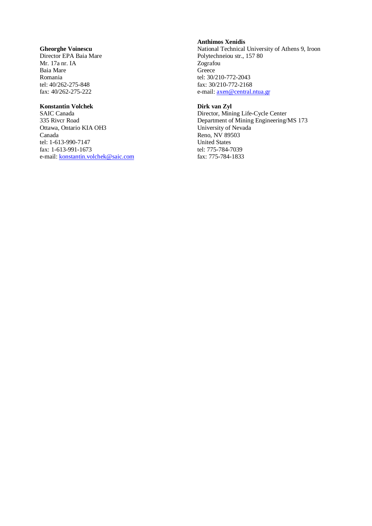### **Gheorghe Voinescu**

Director EPA Baia Mare Mr. 17a nr. IA Baia Mare Romania tel: 40/262-275-848 fax: 40/262-275-222

### **Konstantin Volchek**

SAIC Canada 335 Rivcr Road Ottawa, Ontario KIA OH3 Canada tel: 1-613-990-7147 fax: 1-613-991-1673 e-mail: konstantin.volchek@saic.com

### **Anthimos Xenidis**

National Technical University of Athens 9, Iroon Polytechneiou str., 157 80 Zografou **Greece** tel: 30/210-772-2043 fax: 30/210-772-2168 e-mail: axen@central.ntua.gr

### **Dirk van Zyl**

Director, Mining Life-Cycle Center Department of Mining Engineering/MS 173 University of Nevada Reno, NV 89503 United States tel: 775-784-7039 fax: 775-784-1833